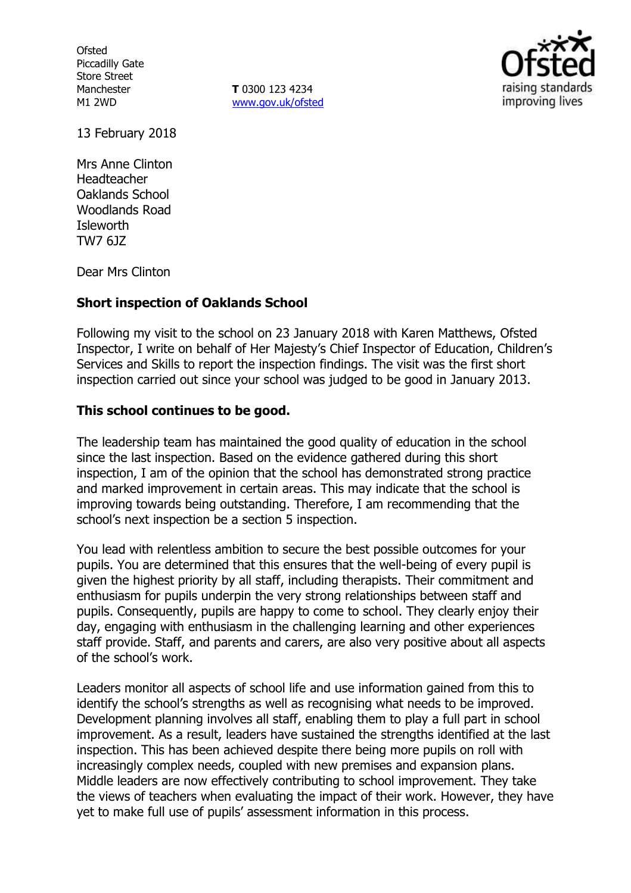**Ofsted** Piccadilly Gate Store Street Manchester M1 2WD

**T** 0300 123 4234 www.gov.uk/ofsted



13 February 2018

Mrs Anne Clinton Headteacher Oaklands School Woodlands Road **Isleworth** TW7 6JZ

Dear Mrs Clinton

### **Short inspection of Oaklands School**

Following my visit to the school on 23 January 2018 with Karen Matthews, Ofsted Inspector, I write on behalf of Her Majesty's Chief Inspector of Education, Children's Services and Skills to report the inspection findings. The visit was the first short inspection carried out since your school was judged to be good in January 2013.

#### **This school continues to be good.**

The leadership team has maintained the good quality of education in the school since the last inspection. Based on the evidence gathered during this short inspection, I am of the opinion that the school has demonstrated strong practice and marked improvement in certain areas. This may indicate that the school is improving towards being outstanding. Therefore, I am recommending that the school's next inspection be a section 5 inspection.

You lead with relentless ambition to secure the best possible outcomes for your pupils. You are determined that this ensures that the well-being of every pupil is given the highest priority by all staff, including therapists. Their commitment and enthusiasm for pupils underpin the very strong relationships between staff and pupils. Consequently, pupils are happy to come to school. They clearly enjoy their day, engaging with enthusiasm in the challenging learning and other experiences staff provide. Staff, and parents and carers, are also very positive about all aspects of the school's work.

Leaders monitor all aspects of school life and use information gained from this to identify the school's strengths as well as recognising what needs to be improved. Development planning involves all staff, enabling them to play a full part in school improvement. As a result, leaders have sustained the strengths identified at the last inspection. This has been achieved despite there being more pupils on roll with increasingly complex needs, coupled with new premises and expansion plans. Middle leaders are now effectively contributing to school improvement. They take the views of teachers when evaluating the impact of their work. However, they have yet to make full use of pupils' assessment information in this process.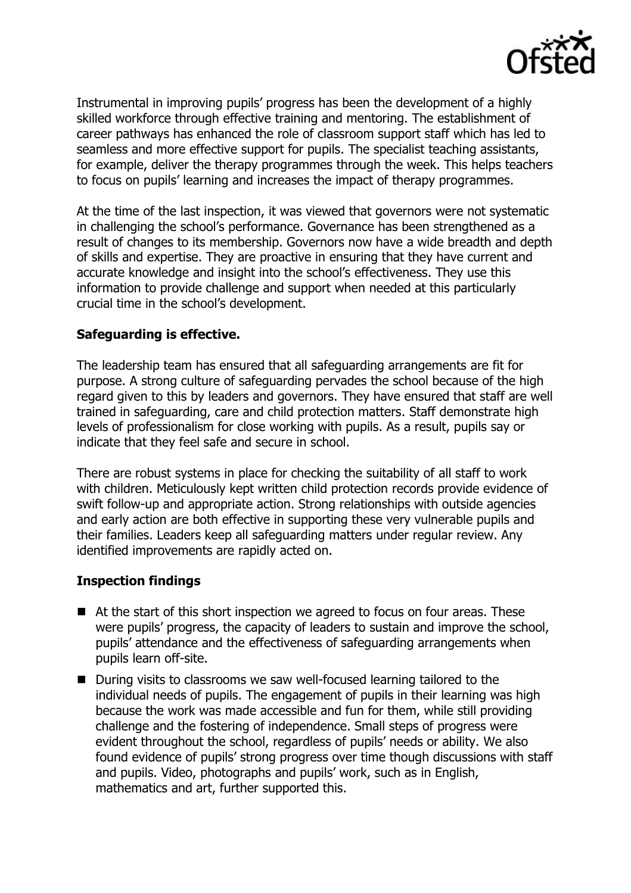

Instrumental in improving pupils' progress has been the development of a highly skilled workforce through effective training and mentoring. The establishment of career pathways has enhanced the role of classroom support staff which has led to seamless and more effective support for pupils. The specialist teaching assistants, for example, deliver the therapy programmes through the week. This helps teachers to focus on pupils' learning and increases the impact of therapy programmes.

At the time of the last inspection, it was viewed that governors were not systematic in challenging the school's performance. Governance has been strengthened as a result of changes to its membership. Governors now have a wide breadth and depth of skills and expertise. They are proactive in ensuring that they have current and accurate knowledge and insight into the school's effectiveness. They use this information to provide challenge and support when needed at this particularly crucial time in the school's development.

# **Safeguarding is effective.**

The leadership team has ensured that all safeguarding arrangements are fit for purpose. A strong culture of safeguarding pervades the school because of the high regard given to this by leaders and governors. They have ensured that staff are well trained in safeguarding, care and child protection matters. Staff demonstrate high levels of professionalism for close working with pupils. As a result, pupils say or indicate that they feel safe and secure in school.

There are robust systems in place for checking the suitability of all staff to work with children. Meticulously kept written child protection records provide evidence of swift follow-up and appropriate action. Strong relationships with outside agencies and early action are both effective in supporting these very vulnerable pupils and their families. Leaders keep all safeguarding matters under regular review. Any identified improvements are rapidly acted on.

### **Inspection findings**

- At the start of this short inspection we agreed to focus on four areas. These were pupils' progress, the capacity of leaders to sustain and improve the school, pupils' attendance and the effectiveness of safeguarding arrangements when pupils learn off-site.
- During visits to classrooms we saw well-focused learning tailored to the individual needs of pupils. The engagement of pupils in their learning was high because the work was made accessible and fun for them, while still providing challenge and the fostering of independence. Small steps of progress were evident throughout the school, regardless of pupils' needs or ability. We also found evidence of pupils' strong progress over time though discussions with staff and pupils. Video, photographs and pupils' work, such as in English, mathematics and art, further supported this.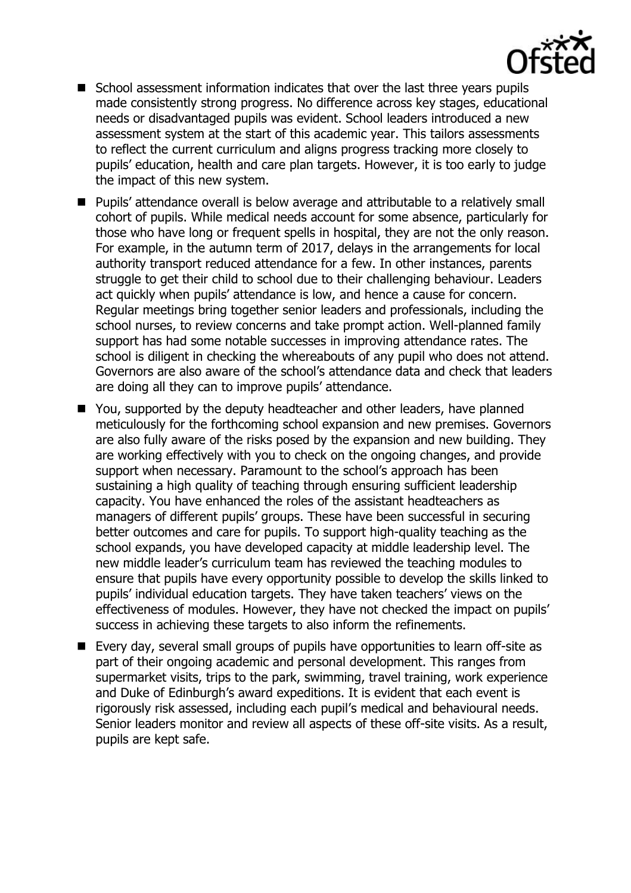

- School assessment information indicates that over the last three years pupils made consistently strong progress. No difference across key stages, educational needs or disadvantaged pupils was evident. School leaders introduced a new assessment system at the start of this academic year. This tailors assessments to reflect the current curriculum and aligns progress tracking more closely to pupils' education, health and care plan targets. However, it is too early to judge the impact of this new system.
- Pupils' attendance overall is below average and attributable to a relatively small cohort of pupils. While medical needs account for some absence, particularly for those who have long or frequent spells in hospital, they are not the only reason. For example, in the autumn term of 2017, delays in the arrangements for local authority transport reduced attendance for a few. In other instances, parents struggle to get their child to school due to their challenging behaviour. Leaders act quickly when pupils' attendance is low, and hence a cause for concern. Regular meetings bring together senior leaders and professionals, including the school nurses, to review concerns and take prompt action. Well-planned family support has had some notable successes in improving attendance rates. The school is diligent in checking the whereabouts of any pupil who does not attend. Governors are also aware of the school's attendance data and check that leaders are doing all they can to improve pupils' attendance.
- You, supported by the deputy headteacher and other leaders, have planned meticulously for the forthcoming school expansion and new premises. Governors are also fully aware of the risks posed by the expansion and new building. They are working effectively with you to check on the ongoing changes, and provide support when necessary. Paramount to the school's approach has been sustaining a high quality of teaching through ensuring sufficient leadership capacity. You have enhanced the roles of the assistant headteachers as managers of different pupils' groups. These have been successful in securing better outcomes and care for pupils. To support high-quality teaching as the school expands, you have developed capacity at middle leadership level. The new middle leader's curriculum team has reviewed the teaching modules to ensure that pupils have every opportunity possible to develop the skills linked to pupils' individual education targets. They have taken teachers' views on the effectiveness of modules. However, they have not checked the impact on pupils' success in achieving these targets to also inform the refinements.
- Every day, several small groups of pupils have opportunities to learn off-site as part of their ongoing academic and personal development. This ranges from supermarket visits, trips to the park, swimming, travel training, work experience and Duke of Edinburgh's award expeditions. It is evident that each event is rigorously risk assessed, including each pupil's medical and behavioural needs. Senior leaders monitor and review all aspects of these off-site visits. As a result, pupils are kept safe.